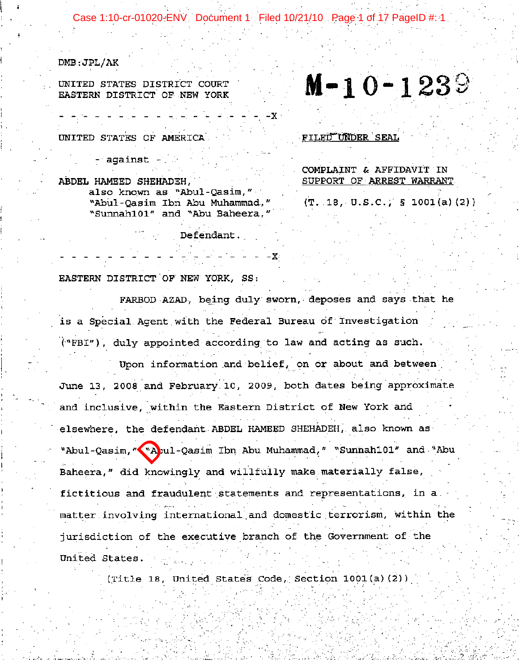Case 1:10-cr-01020-ENV Document 1 Filed 10/21/10 Page 1 of 17 PageID #: 1

 $DMB:JPL/AK$ 

UNITED STATES DISTRICT COURT EASTERN DISTRICT OF NEW YORK

UNITED STATES OF AMERICA

against -

ABDEL HAMEED SHEHADEH. also known as "Abul-Qasim." "Abul-Qasim Ibn Abu Muhammad," "Sunnah101" and "Abu Baheera,"

Defendant.

FILED UNDER SEAL

COMPLAINT & AFFIDAVIT IN SUPPORT OF ARREST WARRANT

 $M-10-1239$ 

 $(T. 18, U.S.C.)$  § 1001(a)(2))

EASTERN DISTRICT OF NEW YORK, SS:

FARBOD AZAD, being duly sworn, deposes and says that he is a Special Agent with the Federal Bureau of Investigation ("FBI"), duly appointed according to law and acting as such.

Upon information and belief, on or about and between June 13, 2008 and February 10, 2009, both dates being approximate and inclusive, within the Eastern District of New York and elsewhere, the defendant ABDEL HAMEED SHEHADEH, also known as "Abul-Qasim, "\"Apul-Qasim Ibn Abu Muhammad," "Sunnah101" and "Abu Baheera," did knowingly and willfully make materially false, fictitious and fraudulent statements and representations, in a. matter involving international and domestic terrorism, within the jurisdiction of the executive branch of the Government of the United States.

(Title 18, United States Code, Section 1001(a)(2))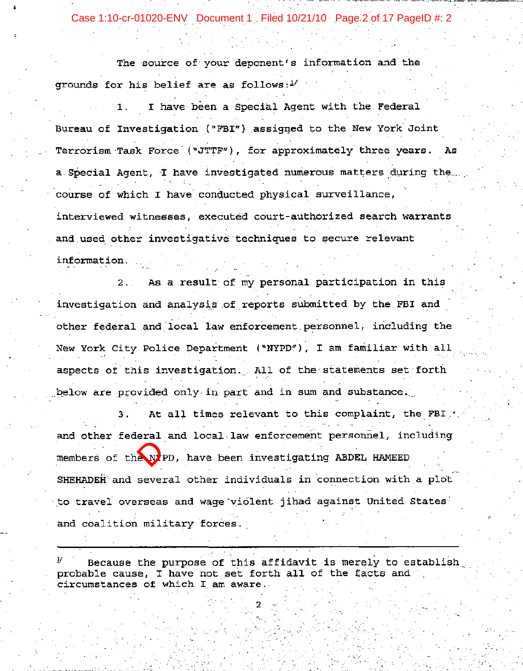Case 1:10-cr-01020-ENV Document 1 Filed 10/21/10 Page 2 of 17 PageID #: 2

The source of your deponent's information and the grounds for his belief are as follows: $1/$ 

I have been a Special Agent with the Federal  $1.$ Bureau of Investigation ("FBI") assigned to the New York Joint Terrorism Task Force ("JTTF"), for approximately three years. As a Special Agent, I have investigated numerous matters during the... course of which I have conducted physical surveillance, interviewed witnesses, executed court-authorized search warrants and used other investigative techniques to secure relevant information.

As a result of my personal participation in this  $2.1$ investigation and analysis of reports submitted by the FBI and other federal and local law enforcement personnel, including the New York City Police Department ("NYPD"), I am familiar with all aspects of this investigation. All of the statements set forth below are provided only in part and in sum and substance.

At all times relevant to this complaint, the FBI / members of the prediction shifted and coalition milder and coalition milder and coalition milder and coalition milder and coalition milder and coalition milder and coalition milder and continuous comparison of values of va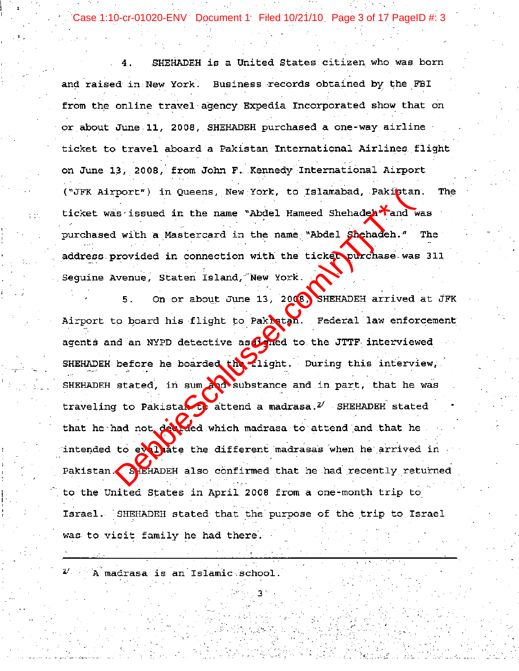se 1:10-cr-01020-ENV Document 1 Filed 10/21/10 Page 3 of 17 PageID #: 3

SHEHADEH is a United States citizen who was born 4. and raised in New York. Business records obtained by the FBI from the online travel agency Expedia Incorporated show that on or about June 11, 2008, SHEHADEH purchased a one-way airline ticket to travel aboard a Pakistan International Airlines flight on June 13, 2008, from John F. Kennedy International Airport The The

port") in Queens, New York, to Islamabad, Pakiptar<br>
is issued in the name "Abdel Hameed Shehadeh" and<br>
i with a Mastercard in the name "Abdel Shehadeh."<br>
rovided in connection with the ticker purchase was<br>
wenue, Staten Is Israel. SHEHADEH stated that the purpose of the trip to Israel was to visit family he had there.

 $2^{\prime}$  A madrasa is an Islamic school.

tά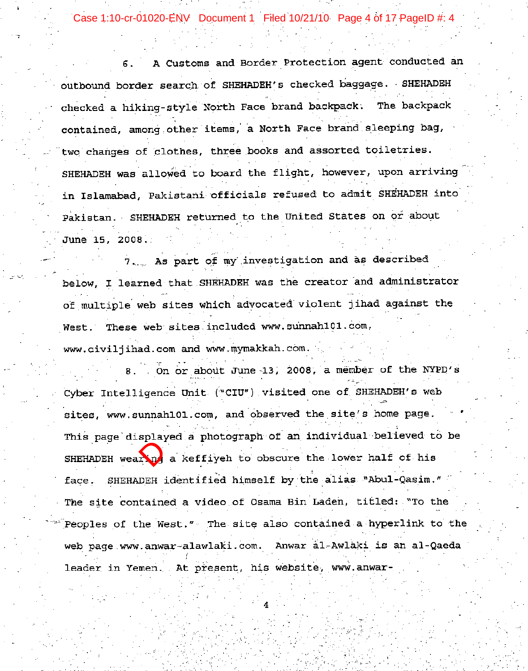Case 1:10-cr-01020-ENV Document 1 Filed 10/21/10 Page 4 of 17 PageID #: 4

A Customs and Border Protection agent conducted an 6. outbound border search of SHEHADEH's checked baggage. SHEHADEH checked a hiking-style North Face brand backpack. The backpack contained, among other items, a North Face brand sleeping bag, two changes of clothes, three books and assorted toiletries. SHEHADEH was allowed to board the flight, however, upon arriving in Islamabad, Pakistani officials refused to admit SHEHADEH into Pakistan. SHEHADEH returned to the United States on or about June 15, 2008.

7. As part of my investigation and as described below, I learned that SHEHADEH was the creator and administrator of multiple web sites which advocated violent jihad against the West. These web sites included www.sunnah101.com, www.civiliihad.com and www.mymakkah.com.

8. On or about June 13, 2008, a member of the NYPD's Cyber Intelligence Unit ("CIU") visited one of SHEHADEH's web sites, www.sunnah101.com, and observed the site's home page. SHEHADEH wearing<br>
face. SHEHADEH i<br>
The site containe<br>
web page.www.anwa<br>
leader in Yemen.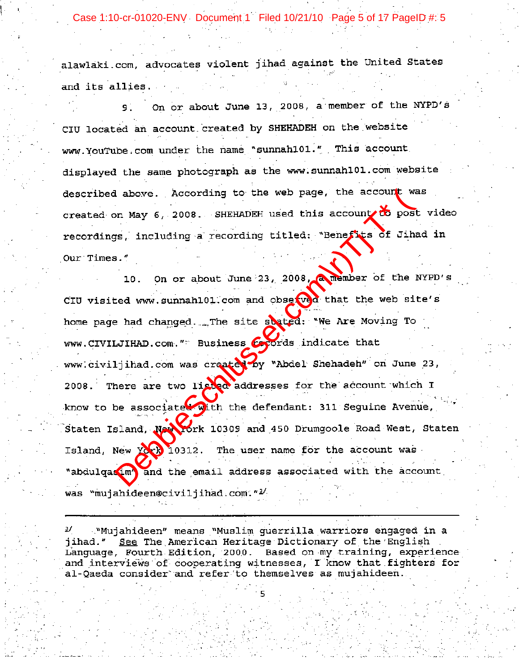Case 1:10-cr-01020-ENV Document 1 Filed 10/21/10 Page 5 of 17 PageID #: 5

alawlaki.com, advocates violent jihad against the United States and its allies.

On or about June 13, 2008, a member of the NYPD's  $9<sup>1</sup>$ CIU located an account created by SHEHADEH on the website www.YouTube.com under the name "sunnah101." This account displayed the same photograph as the www.sunnah101.com website

I above. According to the web page, the account we<br>on May 6, 2008. SHEHADEH used this account to position<br>of the meaning a recording titled: "Benefits of Jihi<br>I.ed www.sunnahl01.com and observed that the web si<br>Pad changed was "mujahideen@civiljihad.com."<sup>3/</sup>

. "Mujahideen" means "Muslim guerrilla warriors engaged in a ৶ jihad." See The American Heritage Dictionary of the English Language, Fourth Edition, 2000. Based on my training, experience and interviews of cooperating witnesses, I know that fighters for al-Qaeda consider and refer to themselves as mujahideen.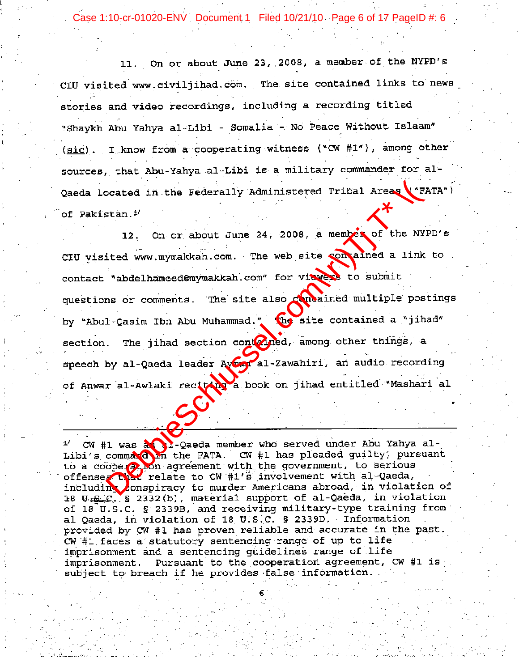Case 1:10-cr-01020-ENV Document 1 Filed 10/21/10 Page 6 of 17 PageID #: 6

11. On or about June 23, 2008, a member of the NYPD's CIU visited www.civiljihad.com. The site contained links to news stories and video recordings, including a recording titled "Shaykh Abu Yahya al-Libi - Somalia - No Peace Without Islaam" (sic). I know from a cooperating witness ("CW #1"), among other sources, that Abu-Yahya al-Libi is a military commander for al-

Consted in the Federally Administered Tribal Areas<br>
stan.<sup>9</sup><br>
12. On or about June 24, 2008, a member of the NY<br>
ited www.mymakkah.com. The web site compained a link<br>
"abdelhameed@mymakkah.com" for viewed to submit<br>
ms or

 $\frac{4}{ }$ of 18 U.S.C. § 2339B, and receiving military-type training from al-Qaeda, in violation of 18 U.S.C. § 2339D. Information provided by CW #1 has proven reliable and accurate in the past. CW #1 faces a statutory sentencing range of up to life imprisonment and a sentencing guidelines range of life Pursuant to the cooperation agreement, CW #1 is imprisonment. subject to breach if he provides false information.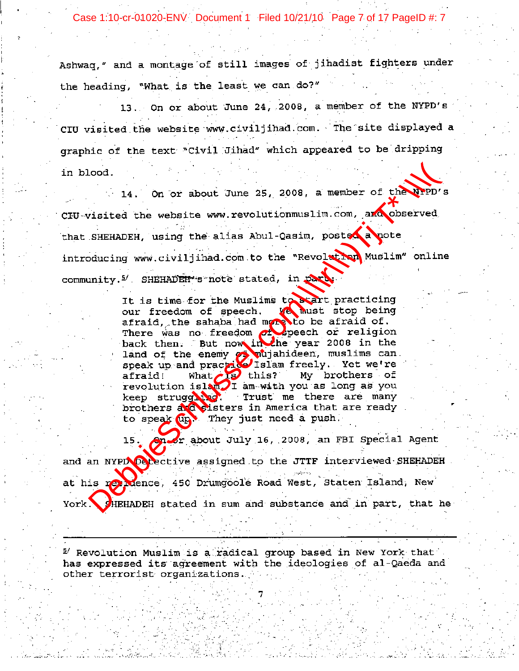Case 1:10-cr-01020-ENV Document 1 Filed 10/21/10 Page 7 of 17 PageID #: 7

Ashwaq," and a montage of still images of jihadist fighters under the heading, "What is the least we can do?"

13. On or about June 24, 2008, a member of the NYPD's CIU visited the website www.civiljihad.com. The site displayed a graphic of the text "Civil Jihad" which appeared to be dripping

Lood.<br>
14. On or about June 25, 2008, a member of the prepricisted the website www.revolutionmuslim.com, and observed<br>
SHEHADEH, using the alias Abul-Casim, posted approximation<br>
inity.<sup>5/</sup> SHEHADEH\*s note stated, in parts

<sup>5</sup>/ Revolution Muslim is a radical group based in New York that has expressed its agreement with the ideologies of al-Qaeda and other terrorist organizations.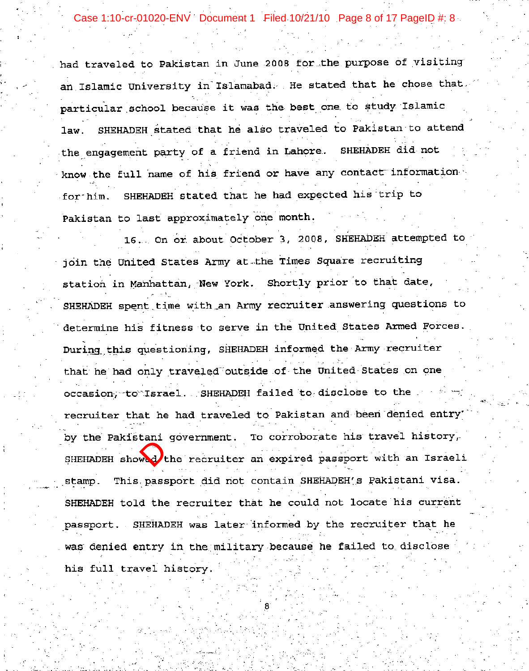Case 1:10-cr-01020-ENV Document 1 Filed 10/21/10 Page 8 of 17 PageID #: 8

had traveled to Pakistan in June 2008 for the purpose of visiting an Islamic University in Islamabad. He stated that he chose that particular school because it was the best one to study Islamic SHEHADEH stated that he also traveled to Pakistan to attend law. the engagement party of a friend in Lahore. SHEHADEH did not know the full name of his friend or have any contact information SHEHADEH stated that he had expected his trip to for him. Pakistan to last approximately one month.

16. On or about October 3, 2008, SHEHADEH attempted to join the United States Army at the Times Square recruiting station in Manhattan, New York. Shortly prior to that date, SHEHADEH spent time with an Army recruiter answering questions to determine his fitness to serve in the United States Armed Forces. During this questioning, SHEHADEH informed the Army recruiter that he had only traveled outside of the United States on one occasion, to Israel. SHEHADEH failed to disclose to the recruiter that he had traveled to Pakistan and been denied entry' SHEHADEH showed the stamp. This pass<br>SHEHADEH told the passport. SHEHAI was denied entry<br>his full travel his full travel his full travel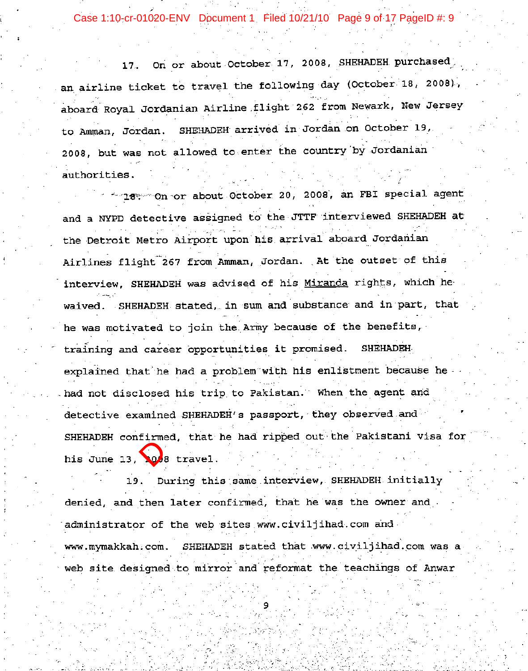Case 1:10-cr-01020-ENV Document 1 Filed 10/21/10 Page 9 of 17 PageID #: 9

On or about October 17, 2008, SHEHADEH purchased  $17.$ an airline ticket to travel the following day (October 18, 2008), aboard Royal Jordanian Airline flight 262 from Newark, New Jersey to Amman, Jordan. SHEHADEH arrived in Jordan on October 19, 2008, but was not allowed to enter the country by Jordanian authorities.

18. On or about October 20, 2008, an FBI special agent and a NYPD detective assigned to the JTTF interviewed SHEHADEH at the Detroit Metro Airport upon his arrival aboard Jordanian Airlines flight 267 from Amman, Jordan. At the outset of this interview, SHEHADEH was advised of his Miranda rights, which he waived. SHEHADEH stated, in sum and substance and in part, that he was motivated to join the Army because of the benefits, training and career opportunities it promised. **SHEHADEH** explained that he had a problem with his enlistment because he had not disclosed his trip to Pakistan. When the agent and detective examined SHEHADEH's passport, they observed and

his June 13, Other administrator of www.mymakkah.com.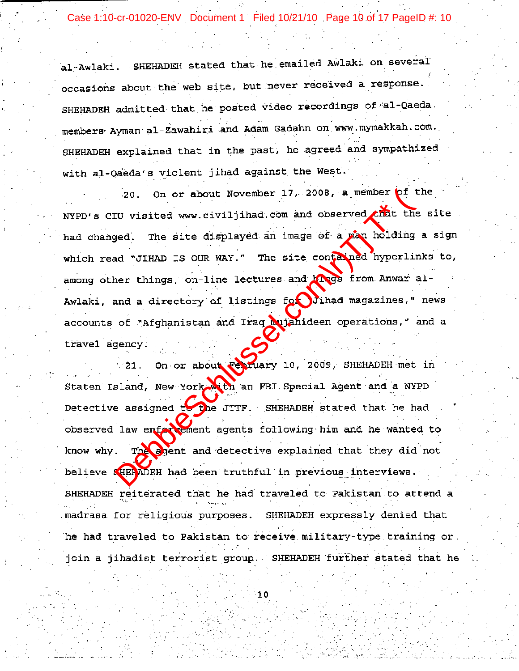Case 1:10-cr-01020-ENV Document 1 Filed 10/21/10 Page 10 of 17 PageID #: 10

al-Awlaki. SHEHADEH stated that he emailed Awlaki on several occasions about the web site, but never received a response. SHEHADEH admitted that he posted video recordings of al-Qaeda. members Ayman al-Zawahiri and Adam Gadahn on www.mymakkah.com. SHEHADEH explained that in the past, he agreed and sympathized with al-Qaeda's violent jihad against the West.

20. On or about November 17, 2008, a member print<br>UT visited www.civiljihad.com and observed which the<br>ged. The site displayed an image of a pan holding<br>ad "JIHAD IS OUR WAY." The site contraded hyperliner<br>things, on-line

SHEHADEH reiterated that he had traveled to Pakistan to attend a madrasa for religious purposes. SHEHADEH expressly denied that he had traveled to Pakistan to receive military-type training or. join a jihadist terrorist group. SHEHADEH further stated that he

10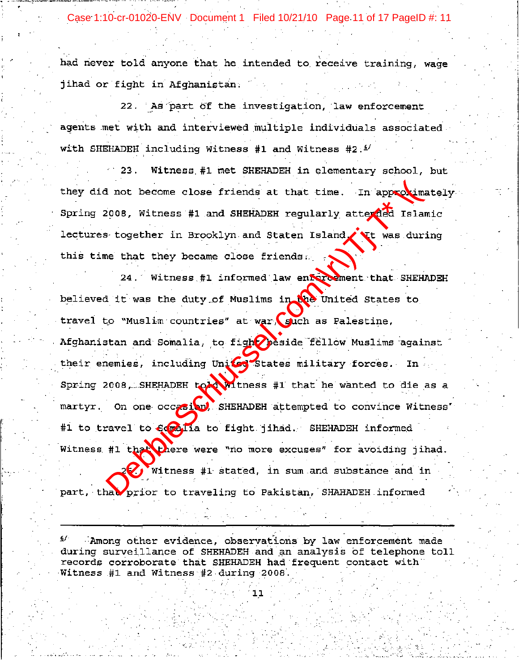Case 1:10-cr-01020-ENV Document 1 Filed 10/21/10 Page 11 of 17 PageID #: 11

had never told anyone that he intended to receive training, wage jihad or fight in Afghanistan.

22. As part of the investigation, law enforcement agents met with and interviewed multiple individuals associated with SHEHADEH including Witness #1 and Witness #2.<sup>5/</sup>

Witness #1 met SHEHADEH in elementary school, but  $23.$ 

In the become close friends at that time. In approximate and such that they became for the BHEHADEH regularly attended Islam is together in Brooklyn and Staten Island (TE was during the that they became close friends).<br>
24

Among other evidence, observations by law enforcement made during surveillance of SHEHADEH and an analysis of telephone toll records corroborate that SHEHADEH had frequent contact with Witness #1 and Witness #2 during 2008.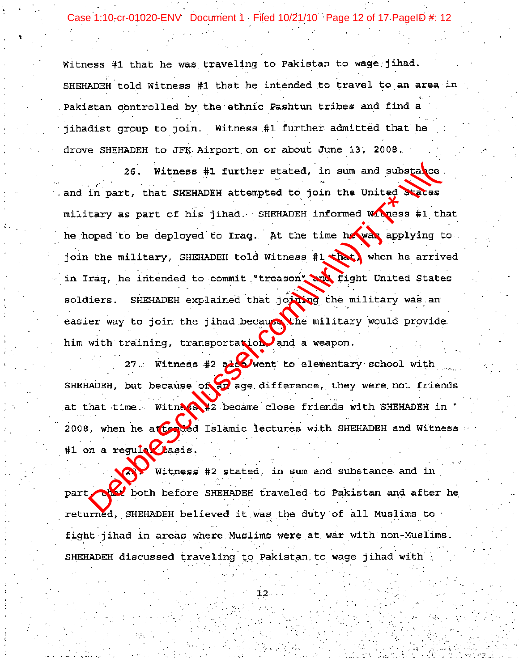Case 1:10-cr-01020-ENV Document 1 Filed 10/21/10 Page 12 of 17 PageID #: 12

Witness #1 that he was traveling to Pakistan to wage jihad. SHEHADEH told Witness #1 that he intended to travel to an area in Pakistan controlled by the ethnic Pashtun tribes and find a jihadist group to join. Witness #1 further admitted that he drove SHEHADEH to JFK Airport on or about June 13, 2008.

26. Witness #1 further stated, in sum and substable<br>in part, that SHEHADEH attempted to join the United Maces<br>tary as part of his jihad. SHEHADEH informed Macess #1 th<br>oped to be deployed to Iraq. At the time have applyin

fight jihad in areas where Muslims were at war with non-Muslims. SHEHADEH discussed traveling to Pakistan to wage jihad with

 $12<sub>1</sub>$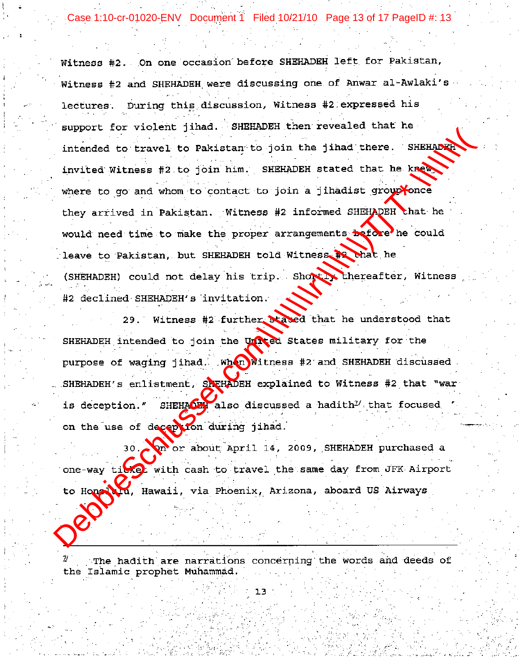Case 1:10-cr-01020-ENV Document 1 Filed 10/21/10 Page 13 of 17 PageID #: 13

Witness #2. On one occasion before SHEHADEH left for Pakistan, Witness #2 and SHEHADEH were discussing one of Anwar al-Awlaki's lectures. During this discussion, Witness #2 expressed his Support for Victors jumin. Summarized that there. SEEEABRANT intended to travel to Pakistan, to join him. SEEEABRANT stated that he kan where to go and whom to contact to join a jinadist group where the would need the to m

The hadith are narrations concerning the words and deeds of the Islamic prophet Muhammad.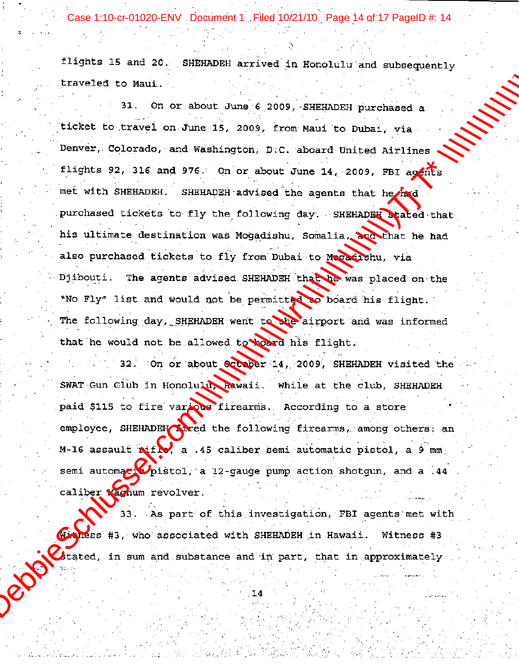Case 1:10-cr-01020-ENV Document 1 Filed 10/21/10 Page 14 of 17 PageID #: 14

Example 15 and 20, signal particle at the column results in the example of the column of the column of  $\lambda$  and  $\lambda$  and  $\lambda$  for  $\lambda$  for  $\lambda$  for  $\lambda$  for  $\lambda$  for  $\lambda$  for  $\lambda$  for  $\lambda$  for  $\lambda$  for  $\lambda$  for  $\lambda$  for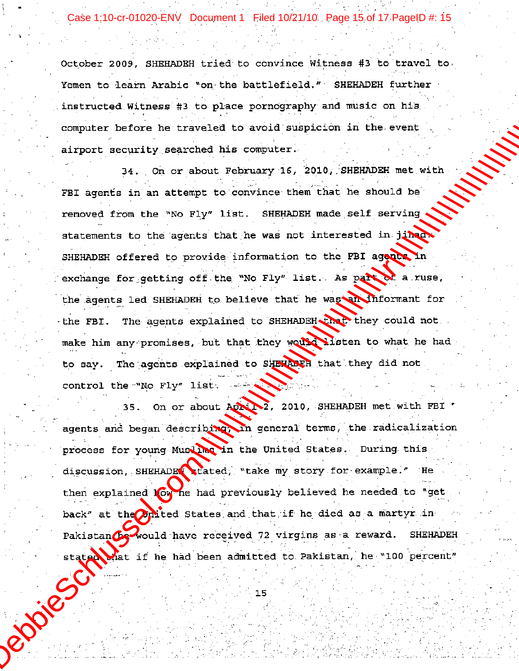Case 1:10-cr-01020-ENV Document 1 Filed 10/21/10 Page 15 of 17 PageID #: 15

Cute 1:10 o 01020 EWV Occurrent Field 1022/10. Pagu 16 of 17-Pagu 19 = 15<br>
Cetaber 2009, Sunanonu Liebet to comvines Witness is to travel to,<br>
them to hairn Archie "on the battlefield." BREADWE further<br>
interacted Witness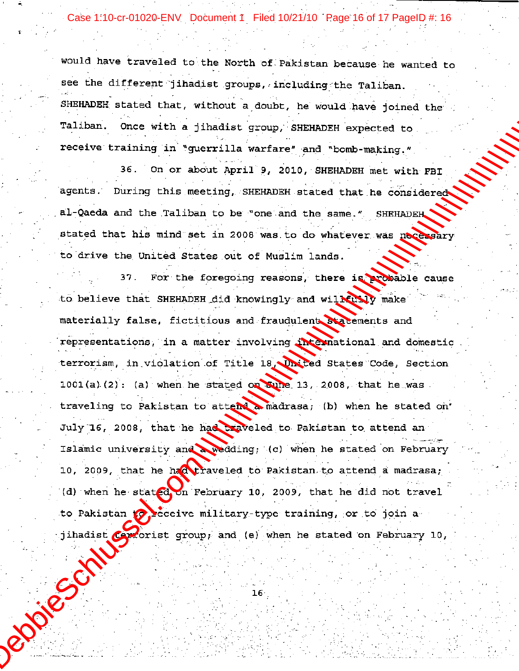Case 1:10-cr-01020-ENV Document 1 Filed 10/21/10 Page 16 of 17 PageID #: 16

would have traveled to the North of Pakistan because he wanted to see the different jihadist groups, including the Taliban. SHEHADEH stated that, without a doubt, he would have joined the Taliban. Once with a jihadist group, SHEHADEH expected to receive training in "guerrilla warfare" and "bomb-making."

36. On or about April 9, 2010, SHEHADEH met with FBI agents. During this meeting, SHEHADEH stated that he considered al-Qaeda and the Taliban to be "one and the same." SHEHADEH. stated that his mind set in 2008 was to do whatever was necessary to drive the United States out of Muslim lands.

For the foregoing reasons, there is probable cause  $37.$ to believe that SHEHADEH did knowingly and wilkusly make materially false, fictitious and fraudulent statements and representations, in a matter involving international and domestic terrorism, in violation of Title 18, United States Code, Section  $1001(a)$  (2): (a) when he stated on Suine 13, 2008, that he was traveling to Pakistan to attend a madrasa; (b) when he stated on' July 16, 2008, that he had traveled to Pakistan to attend an Islamic university and a wedding; (c) when he stated on February 10, 2009, that he had traveled to Pakistan to attend a madrasa; (d) when he stated on February 10, 2009, that he did not travel to Pakistan to beceive military-type training, or to join a Projective jihadist careorist group; and (e) when he stated on February 10,

 $16<sup>1</sup>$